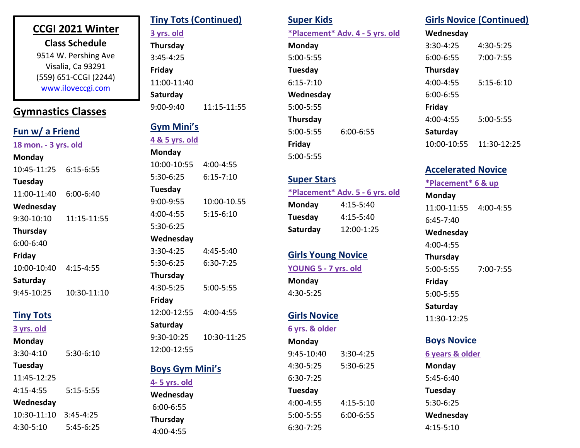## **CCGI 2021 Winter**

**Class Schedule** 9514 W. Pershing Ave Visalia, Ca 93291 (559) 651-CCGI (2244) www.iloveccgi.com

## **Gymnastics Classes**

| Fun w/ a Friend      |               |  |
|----------------------|---------------|--|
| 18 mon. - 3 yrs. old |               |  |
| Monday               |               |  |
| 10:45-11:25          | 6:15-6:55     |  |
| Tuesday              |               |  |
| 11:00-11:40          | $6:00 - 6:40$ |  |
| Wednesday            |               |  |
| 9:30-10:10           | 11:15-11:55   |  |
| <b>Thursday</b>      |               |  |
| 6:00-6:40            |               |  |
| Friday               |               |  |
| 10:00-10:40          | $4:15 - 4:55$ |  |
| Saturday             |               |  |
| 9:45-10:25           | 10:30-11:10   |  |
|                      |               |  |

### **Tiny Tots**

**3 yrs. old**

**Monday**

3:30-4:10 5:30-6:10

#### **Tuesday**

11:45-12:25 4:15-4:55 5:15-5:55 **Wednesday** 10:30-11:10 3:45-4:25 4:30-5:10 5:45-6:25

## **Tiny Tots (Continued)**

**3 yrs. old**

**Thursday**  3:45-4:25 **Friday** 11:00-11:40 **Saturday** 9:00-9:40 11:15-11:55

### **Gym Mini's**

**4 & 5 yrs. old**

| Monday                 |               |  |
|------------------------|---------------|--|
| 10:00-10:55            | 4:00-4:55     |  |
| 5:30-6:25              | $6:15 - 7:10$ |  |
| Tuesday                |               |  |
| 9:00-9:55              | 10:00-10.55   |  |
| 4:00-4:55              | $5:15 - 6:10$ |  |
| 5:30-6:25              |               |  |
| Wednesday              |               |  |
| 3:30-4:25              | 4:45-5:40     |  |
| 5:30-6:25              | $6:30 - 7:25$ |  |
| <b>Thursday</b>        |               |  |
| 4:30-5:25              | 5:00-5:55     |  |
| Friday                 |               |  |
| 12:00-12:55            | 4:00-4:55     |  |
| Saturday               |               |  |
| 9:30-10:25             | 10:30-11:25   |  |
| 12:00-12:55            |               |  |
| <b>Boys Gym Mini's</b> |               |  |
| <u>4- 5 yrs. old</u>   |               |  |
|                        |               |  |

**Wednesday**  6:00-6:55 **Thursday**  4:00-4:55

# **Super Kids**

**\*Placement\* Adv. 4 - 5 yrs. old Monday** 5:00-5:55 **Tuesday** 6:15-7:10 **Wednesday** 5:00-5:55 **Thursday** 5:00-5:55 6:00-6:55

## **Super Stars**

**Friday** 5:00-5:55

**\*Placement\* Adv. 5 - 6 yrs. old Monday** 4:15-5:40 **Tuesday** 4:15-5:40 **Saturday** 12:00-1:25

## **Girls Young Novice YOUNG 5 - 7 yrs. old Monday**

## **Girls Novice**

4:30-5:25

**6 yrs. & older**

#### **Monday**

9:45-10:40 3:30-4:25 4:30-5:25 5:30-6:25 6:30-7:25 **Tuesday** 4:00-4:55 4:15-5:10 5:00-5:55 6:00-6:55 6:30-7:25

# **Girls Novice (Continued)**

| Wednesday       |               |
|-----------------|---------------|
| $3:30-4:25$     | 4:30-5:25     |
| $6:00 - 6:55$   | $7:00 - 7:55$ |
| <b>Thursday</b> |               |
| $4:00 - 4:55$   | $5:15 - 6:10$ |
| $6:00 - 6:55$   |               |
| Friday          |               |
| 4:00-4:55       | 5:00-5:55     |
| Saturday        |               |
| 10:00-10:55     | 11:30-12:25   |

## **Accelerated Novice**

**\*Placement\* 6 & up Monday**  11:00-11:55 4:00-4:55 6:45-7:40 **Wednesday**  4:00-4:55 **Thursday** 5:00-5:55 7:00-7:55 **Friday**  5:00-5:55 **Saturday**  11:30-12:25

### **Boys Novice**

**6 years & older Monday** 5:45-6:40 **Tuesday** 5:30-6:25 **Wednesday** 4:15-5:10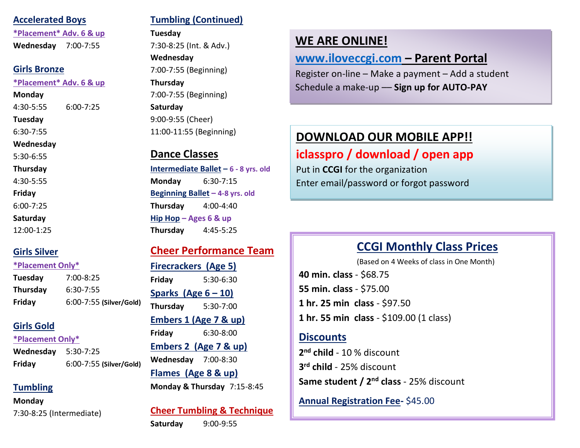#### **Accelerated Boys**

**\*Placement\* Adv. 6 & up Wednesday** 7:00-7:55

#### **Girls Bronze**

#### **\*Placement\* Adv. 6 & up**

**Monday**

4:30-5:55 6:00-7:25

**Tuesday**

6:30-7:55

#### **Wednesday**

5:30-6:55

#### **Thursday**

4:30-5:55

**Friday**

6:00-7:25

#### **Saturday**

12:00-1:25

## **Girls Silver**

#### **\*Placement Only\***

**Tuesday** 7:00-8:25 **Thursday** 6:30-7:55 **Friday** 6:00-7:55 **(Silver/Gold)**

## **Girls Gold**

#### **\*Placement Only\***

**Wednesday** 5:30-7:25 **Friday** 6:00-7:55 **(Silver/Gold)**

## **Tumbling**

**Monday**

7:30-8:25 (Intermediate)

## **Tumbling (Continued)**

#### **Tuesday**

7:30-8:25 (Int. & Adv.) **Wednesday** 7:00-7:55 (Beginning) **Thursday** 7:00-7:55 (Beginning) **Saturday** 9:00-9:55 (Cheer) 11:00-11:55 (Beginning)

## **Dance Classes**

**Intermediate Ballet – 6 - 8 yrs. old Monday** 6:30-7:15 **Beginning Ballet – 4-8 yrs. old Thursday** 4:00-4:40 **Hip Hop – Ages 6 & up Thursday** 4:45-5:25

## **Cheer Performance Team**

### **Firecrackers (Age 5)**

**Friday** 5:30-6:30 **Sparks (Age 6 – 10) Thursday** 5:30-7:00 **Embers 1 (Age 7 & up) Friday** 6:30-8:00 **Embers 2 (Age 7 & up) Wednesday** 7:00-8:30 **Flames (Age 8 & up) Monday & Thursday** 7:15-8:45

**Cheer Tumbling & Technique Saturday** 9:00-9:55

## **WE ARE ONLINE!**

## **[www.iloveccgi.com](http://www.iloveccgi.com/) – Parent Portal**

Register on-line – Make a payment – Add a student Schedule a make-up –– **Sign up for AUTO-PAY**

# **DOWNLOAD OUR MOBILE APP!!**

# **iclasspro / download / open app**

Put in **CCGI** for the organization Enter email/password or forgot password

# **CCGI Monthly Class Prices**

 (Based on 4 Weeks of class in One Month) **40 min. class** - \$68.75 **55 min. class** - \$75.00 **1 hr. 25 min class** - \$97.50 **1 hr. 55 min class** - \$109.00 (1 class)

## **Discounts**

**2 nd child** - 10 % discount **3 rd child** - 25% discount **Same student / 2nd class** - 25% discount

**Annual Registration Fee-** \$45.00